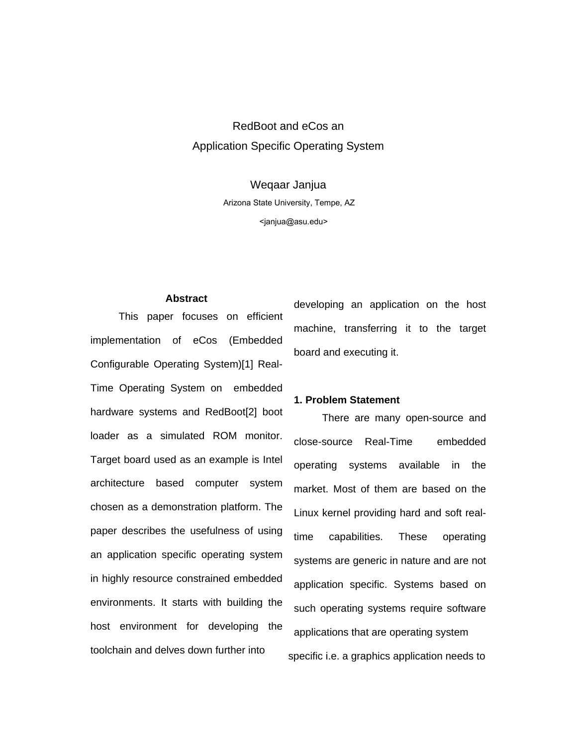# RedBoot and eCos an Application Specific Operating System

Weqaar Janjua Arizona State University, Tempe, AZ *[wjanjua@lmkr.com](mailto:janjua@asu.edu)* <janjua@asu.edu>

#### **Abstract**

 This paper focuses on efficient implementation of eCos (Embedded Configurable Operating System)[1] Real-Time Operating System on embedded hardware systems and RedBoot[2] boot loader as a simulated ROM monitor. Target board used as an example is Intel architecture based computer system chosen as a demonstration platform. The paper describes the usefulness of using an application specific operating system in highly resource constrained embedded environments. It starts with building the host environment for developing the toolchain and delves down further into

developing an application on the host machine, transferring it to the target board and executing it.

#### **1. Problem Statement**

 There are many open-source and close-source Real-Time embedded operating systems available in the market. Most of them are based on the Linux kernel providing hard and soft realtime capabilities. These operating systems are generic in nature and are not application specific. Systems based on such operating systems require software applications that are operating system specific i.e. a graphics application needs to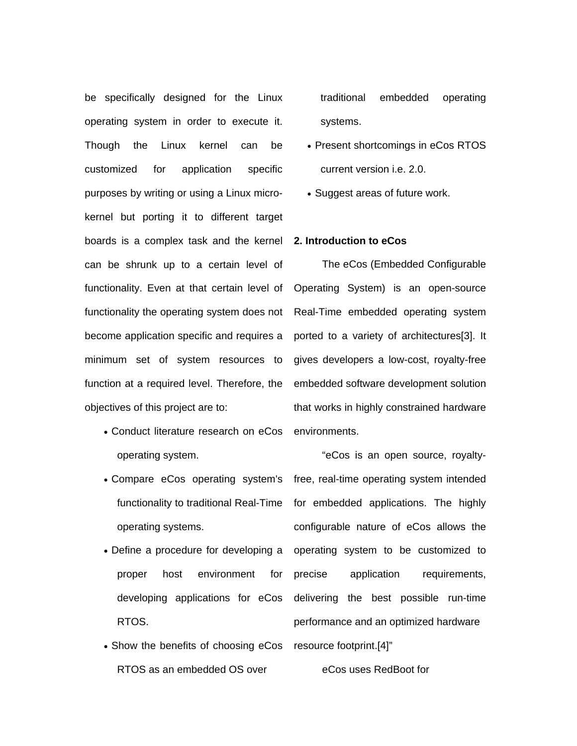be specifically designed for the Linux operating system in order to execute it. Though the Linux kernel can be customized for application specific purposes by writing or using a Linux microkernel but porting it to different target boards is a complex task and the kernel can be shrunk up to a certain level of functionality. Even at that certain level of functionality the operating system does not become application specific and requires a minimum set of system resources to function at a required level. Therefore, the objectives of this project are to:

- Conduct literature research on eCos environments. operating system.
- operating systems.
- proper host environment for developing applications for eCos RTOS.
- Show the benefits of choosing eCos resource footprint.[4]" RTOS as an embedded OS over

traditional embedded operating systems.

- Present shortcomings in eCos RTOS current version i.e. 2.0.
- Suggest areas of future work.

### **2. Introduction to eCos**

 The eCos (Embedded Configurable Operating System) is an open-source Real-Time embedded operating system ported to a variety of architectures[3]. It gives developers a low-cost, royalty-free embedded software development solution that works in highly constrained hardware

• Compare eCos operating system's free, real-time operating system intended functionality to traditional Real-Time for embedded applications. The highly • Define a procedure for developing a operating system to be customized to "eCos is an open source, royaltyconfigurable nature of eCos allows the precise application requirements, delivering the best possible run-time performance and an optimized hardware

eCos uses RedBoot for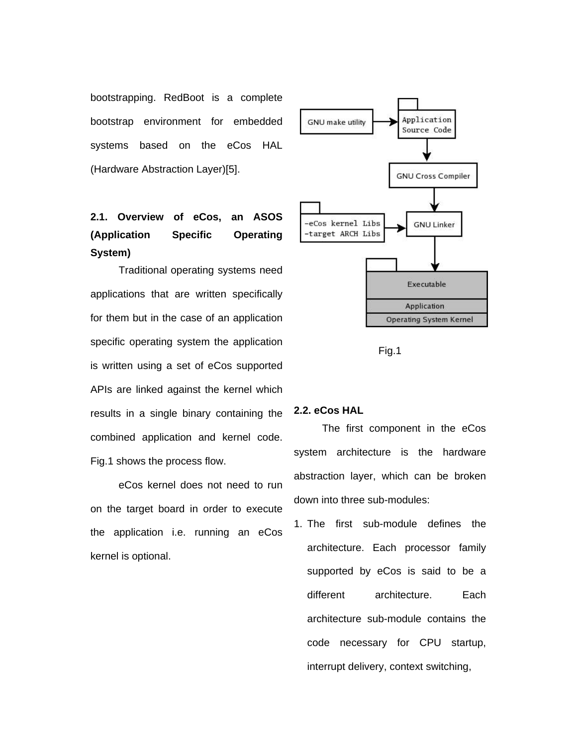bootstrapping. RedBoot is a complete bootstrap environment for embedded systems based on the eCos HAL (Hardware Abstraction Layer)[5].

# **2.1. Overview of eCos, an ASOS (Application Specific Operating System)**

 Traditional operating systems need applications that are written specifically for them but in the case of an application specific operating system the application is written using a set of eCos supported APIs are linked against the kernel which results in a single binary containing the combined application and kernel code. Fig.1 shows the process flow.

eCos kernel does not need to run on the target board in order to execute the application i.e. running an eCos kernel is optional.





## **2.2. eCos HAL**

 The first component in the eCos system architecture is the hardware abstraction layer, which can be broken down into three sub-modules:

1. The first sub-module defines the architecture. Each processor family supported by eCos is said to be a different architecture. Each architecture sub-module contains the code necessary for CPU startup, interrupt delivery, context switching,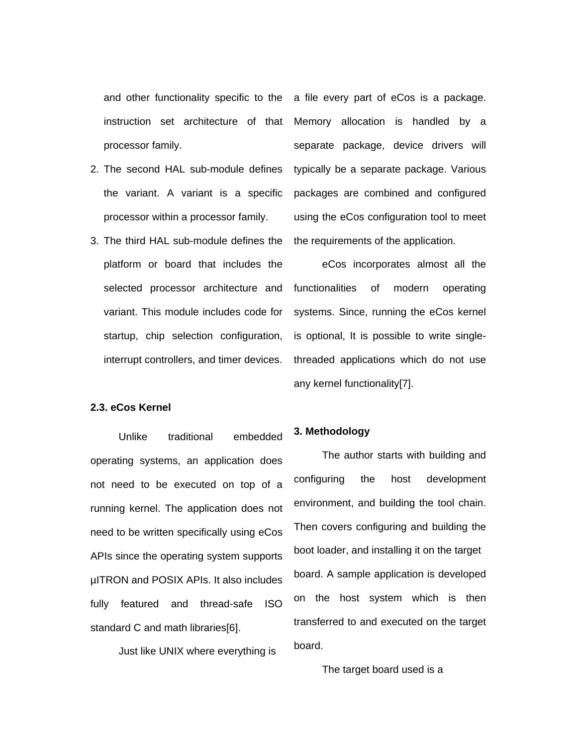instruction set architecture of that processor family.

- 2. The second HAL sub-module defines the variant. A variant is a specific processor within a processor family.
- 3. The third HAL sub-module defines the platform or board that includes the selected processor architecture and variant. This module includes code for startup, chip selection configuration, interrupt controllers, and timer devices.

#### **2.3. eCos Kernel**

 Unlike traditional embedded operating systems, an application does not need to be executed on top of a running kernel. The application does not need to be written specifically using eCos APIs since the operating system supports µITRON and POSIX APIs. It also includes fully featured and thread-safe ISO standard C and math libraries[6].

Just like UNIX where everything is

and other functionality specific to the a file every part of eCos is a package. Memory allocation is handled by a separate package, device drivers will typically be a separate package. Various packages are combined and configured using the eCos configuration tool to meet the requirements of the application.

> eCos incorporates almost all the functionalities of modern operating systems. Since, running the eCos kernel is optional, It is possible to write singlethreaded applications which do not use any kernel functionality[7].

#### **3. Methodology**

The author starts with building and configuring the host development environment, and building the tool chain. Then covers configuring and building the boot loader, and installing it on the target board. A sample application is developed on the host system which is then transferred to and executed on the target board.

The target board used is a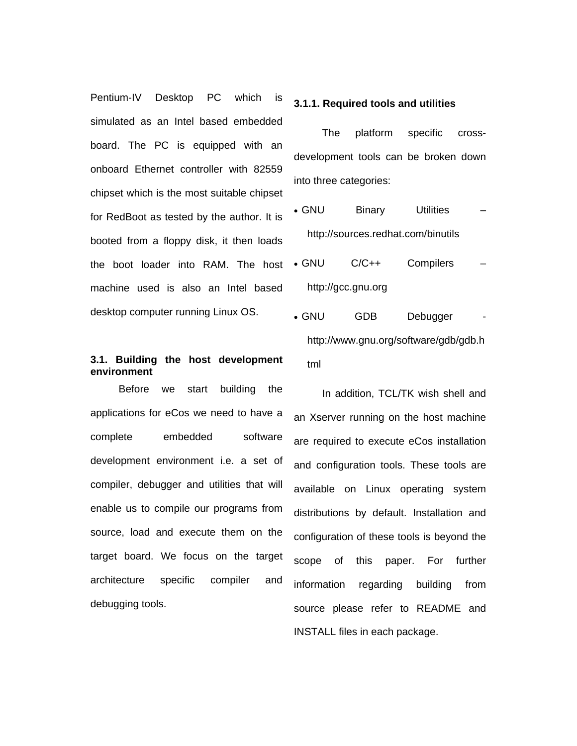Pentium-IV Desktop PC which is simulated as an Intel based embedded board. The PC is equipped with an onboard Ethernet controller with 82559 chipset which is the most suitable chipset for RedBoot as tested by the author. It is booted from a floppy disk, it then loads the boot loader into RAM. The host machine used is also an Intel based desktop computer running Linux OS.

# **3.1. Building the host development environment**

 Before we start building the applications for eCos we need to have a complete embedded software development environment i.e. a set of compiler, debugger and utilities that will enable us to compile our programs from source, load and execute them on the target board. We focus on the target architecture specific compiler and debugging tools.

#### **3.1.1. Required tools and utilities**

 The platform specific crossdevelopment tools can be broken down into three categories:

- GNU Binary Utilities http://sources.redhat.com/binutils
- GNU C/C++ Compilers http://gcc.gnu.org
- GNU GDB Debugger http://www.gnu.org/software/gdb/gdb.h tml

 In addition, TCL/TK wish shell and an Xserver running on the host machine are required to execute eCos installation and configuration tools. These tools are available on Linux operating system distributions by default. Installation and configuration of these tools is beyond the scope of this paper. For further information regarding building from source please refer to README and INSTALL files in each package.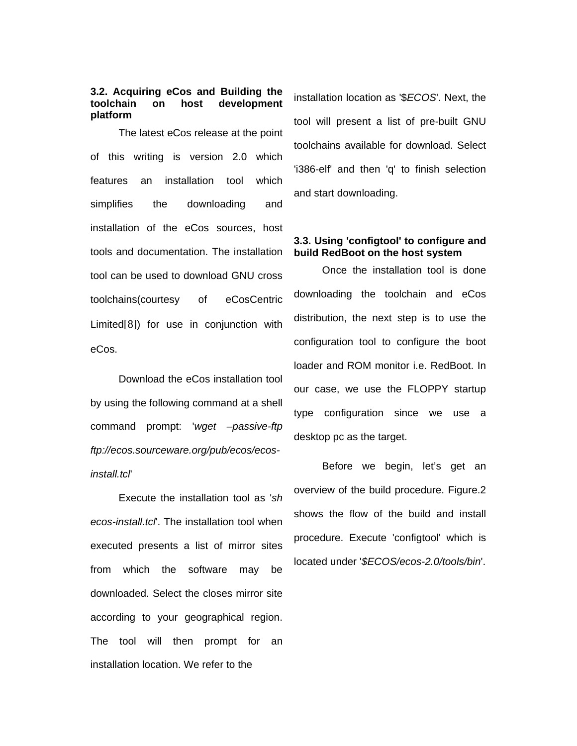### **3.2. Acquiring eCos and Building the toolchain on host development platform**

 The latest eCos release at the point of this writing is version 2.0 which features an installation tool which simplifies the downloading and installation of the eCos sources, host tools and documentation. The installation tool can be used to download GNU cross toolchains(courtesy of [eCosCentric](http://www.ecoscentric.com/)  [Limited](http://www.ecoscentric.com/)[8]) for use in conjunction with eCos.

 Download the eCos installation tool by using the following command at a shell command prompt: '*wget –passive-ftp ftp://ecos.sourceware.org/pub/ecos/ecosinstall.tcl*'

 Execute the installation tool as '*sh ecos-install.tcl*'. The installation tool when executed presents a list of [mirror sites](http://ecos.sourceware.org/mirror.html) from which the software may be downloaded. Select the closes mirror site according to your geographical region. The tool will then prompt for an installation location. We refer to the

installation location as '\$*ECOS*'. Next, the tool will present a list of pre-built GNU toolchains available for download. Select 'i386-elf' and then 'q' to finish selection and start downloading.

## **3.3. Using 'configtool' to configure and build RedBoot on the host system**

 Once the installation tool is done downloading the toolchain and eCos distribution, the next step is to use the configuration tool to configure the boot loader and ROM monitor i.e. RedBoot. In our case, we use the FLOPPY startup type configuration since we use a desktop pc as the target.

 Before we begin, let's get an overview of the build procedure. Figure.2 shows the flow of the build and install procedure. Execute 'configtool' which is located under '*\$ECOS/ecos-2.0/tools/bin*'.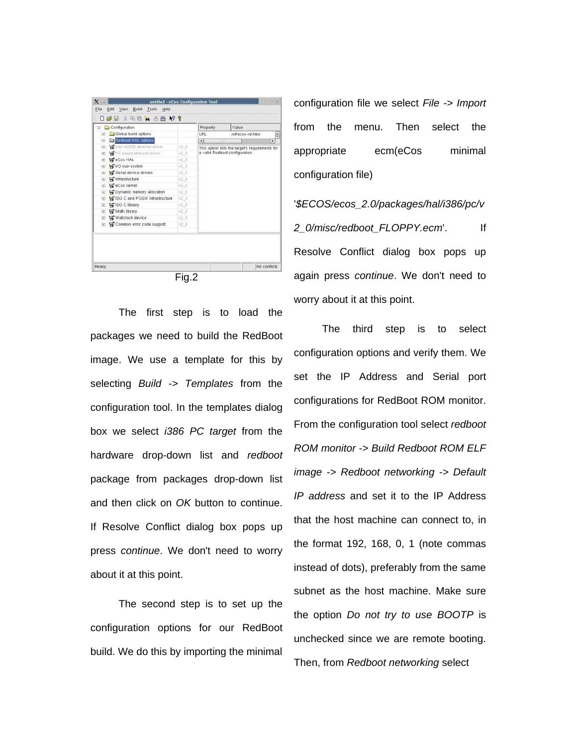

 The first step is to load the packages we need to build the RedBoot image. We use a template for this by selecting *Build -> Templates* from the configuration tool. In the templates dialog box we select *i386 PC target* from the hardware drop-down list and *redboot* package from packages drop-down list and then click on *OK* button to continue. If Resolve Conflict dialog box pops up press *continue*. We don't need to worry about it at this point.

 The second step is to set up the configuration options for our RedBoot build. We do this by importing the minimal configuration file we select *File -> Import* from the menu. Then select the appropriate ecm(eCos minimal configuration file)

'*\$ECOS/ecos\_2.0/packages/hal/i386/pc/v 2\_0/misc/redboot\_FLOPPY.ecm*'. If Resolve Conflict dialog box pops up again press *continue*. We don't need to worry about it at this point.

 The third step is to select configuration options and verify them. We set the IP Address and Serial port configurations for RedBoot ROM monitor. From the configuration tool select *redboot ROM monitor -> Build Redboot ROM ELF image -> Redboot networking -> Default IP address* and set it to the IP Address that the host machine can connect to, in the format 192, 168, 0, 1 (note commas instead of dots), preferably from the same subnet as the host machine. Make sure the option *Do not try to use BOOTP* is unchecked since we are remote booting. Then, from *Redboot networking* select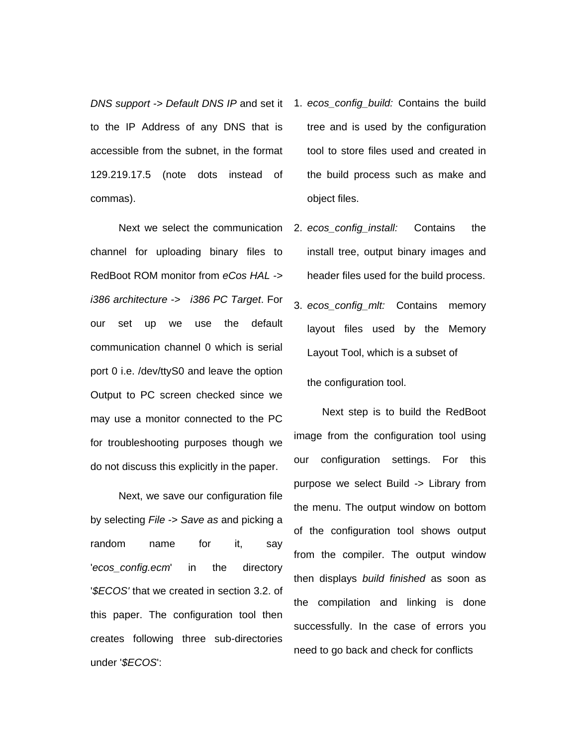to the IP Address of any DNS that is accessible from the subnet, in the format 129.219.17.5 (note dots instead of commas).

 Next we select the communication channel for uploading binary files to RedBoot ROM monitor from *eCos HAL -> i386 architecture -> i386 PC Target*. For our set up we use the default communication channel 0 which is serial port 0 i.e. /dev/ttyS0 and leave the option Output to PC screen checked since we may use a monitor connected to the PC for troubleshooting purposes though we do not discuss this explicitly in the paper.

 Next, we save our configuration file by selecting *File -> Save as* and picking a random name for it, say '*ecos\_config.ecm*' in the directory '*\$ECOS'* that we created in section 3.2. of this paper. The configuration tool then creates following three sub-directories under '*\$ECOS*':

- *DNS support -> Default DNS IP* and set it 1. *ecos\_config\_build:* Contains the build tree and is used by the configuration tool to store files used and created in the build process such as make and object files.
	- 2. *ecos\_config\_install:* Contains the install tree, output binary images and header files used for the build process.
	- 3. *ecos\_config\_mlt:* Contains memory layout files used by the Memory Layout Tool, which is a subset of the configuration tool.

Next step is to build the RedBoot image from the configuration tool using our configuration settings. For this purpose we select Build -> Library from the menu. The output window on bottom of the configuration tool shows output from the compiler. The output window then displays *build finished* as soon as the compilation and linking is done successfully. In the case of errors you need to go back and check for conflicts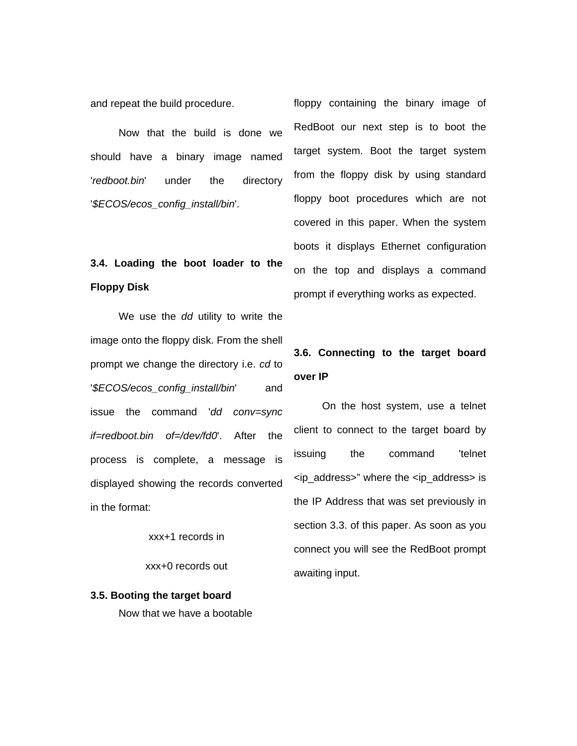and repeat the build procedure.

 Now that the build is done we should have a binary image named '*redboot.bin*' under the directory '*\$ECOS/ecos\_config\_install/bin*'.

# **3.4. Loading the boot loader to the Floppy Disk**

 We use the *dd* utility to write the image onto the floppy disk. From the shell prompt we change the directory i.e. *cd* to '*\$ECOS/ecos\_config\_install/bin*' and issue the command '*dd conv=sync if=redboot.bin of=/dev/fd0*'. After the process is complete, a message is displayed showing the records converted in the format:

xxx+1 records in

xxx+0 records out

**3.5. Booting the target board**  Now that we have a bootable floppy containing the binary image of RedBoot our next step is to boot the target system. Boot the target system from the floppy disk by using standard floppy boot procedures which are not covered in this paper. When the system boots it displays Ethernet configuration on the top and displays a command prompt if everything works as expected.

# **3.6. Connecting to the target board over IP**

 On the host system, use a telnet client to connect to the target board by issuing the command 'telnet <ip\_address>" where the <ip\_address> is the IP Address that was set previously in section 3.3. of this paper. As soon as you connect you will see the RedBoot prompt awaiting input.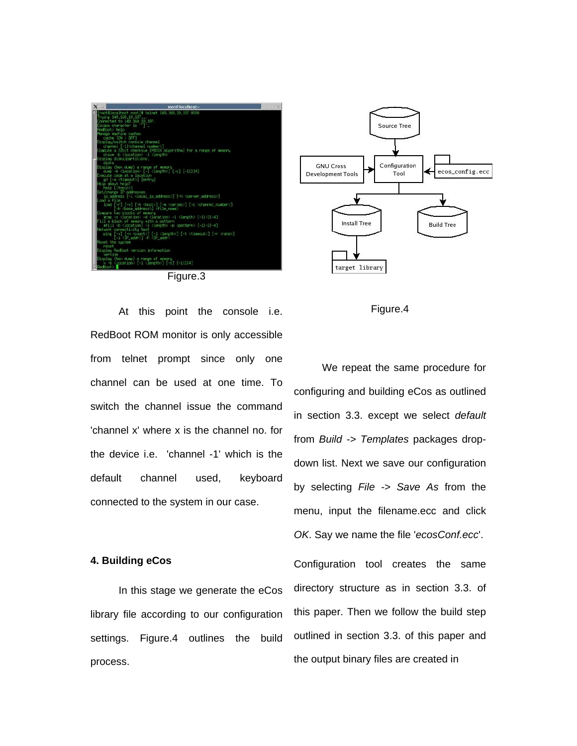







 At this point the console i.e. RedBoot ROM monitor is only accessible from telnet prompt since only one channel can be used at one time. To switch the channel issue the command 'channel x' where x is the channel no. for the device i.e. 'channel -1' which is the default channel used, keyboard connected to the system in our case.

### **4. Building eCos**

 In this stage we generate the eCos library file according to our configuration settings. Figure.4 outlines the build process.

We repeat the same procedure for configuring and building eCos as outlined in section 3.3. except we select *default* from *Build -> Templates* packages dropdown list. Next we save our configuration by selecting *File -> Save As* from the menu, input the filename.ecc and click *OK*. Say we name the file '*ecosConf.ecc*'.

Configuration tool creates the same directory structure as in section 3.3. of this paper. Then we follow the build step outlined in section 3.3. of this paper and the output binary files are created in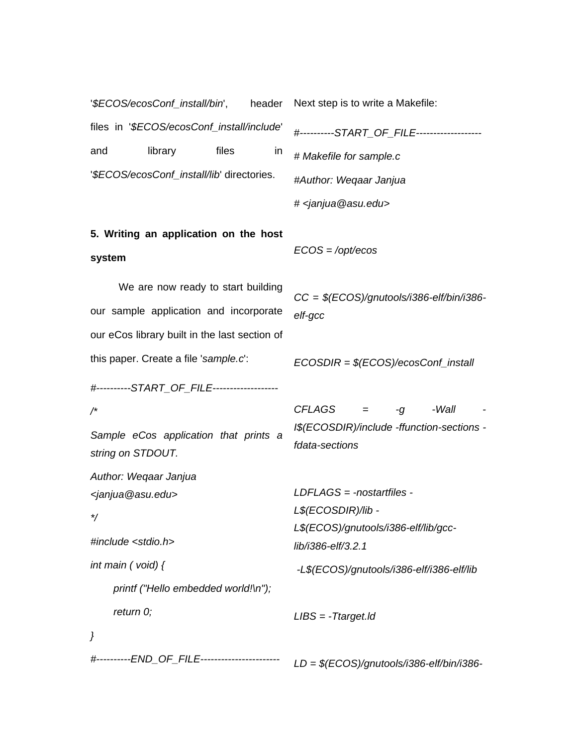| '\$ECOS/ecosConf_install/bin',<br>header                                                                                      | Next step is to write a Makefile:                                                                               |
|-------------------------------------------------------------------------------------------------------------------------------|-----------------------------------------------------------------------------------------------------------------|
| files in '\$ECOS/ecosConf_install/include'                                                                                    | #----------START_OF_FILE------------------                                                                      |
| library<br>files<br>and<br>in                                                                                                 | # Makefile for sample.c                                                                                         |
| '\$ECOS/ecosConf_install/lib' directories.                                                                                    | #Author: Weqaar Janjua                                                                                          |
|                                                                                                                               | # <janjua@asu.edu></janjua@asu.edu>                                                                             |
| 5. Writing an application on the host                                                                                         |                                                                                                                 |
| system                                                                                                                        | $ECOS = \text{/opt/ecos}$                                                                                       |
| We are now ready to start building<br>our sample application and incorporate<br>our eCos library built in the last section of | $CC = $(ECOS)/g$ nutools/i386-elf/bin/i386-<br>elf-gcc                                                          |
| this paper. Create a file 'sample.c':                                                                                         | $ECOSDIR = $(ECOS)/ecosConf_{install}$$                                                                         |
| #---------START_OF_FILE------------------                                                                                     |                                                                                                                 |
| $/{}^{\star}$<br>Sample eCos application that prints a<br>string on STDOUT.                                                   | <b>CFLAGS</b><br>-Wall<br>-g<br>I\$(ECOSDIR)/include -ffunction-sections -<br>fdata-sections                    |
| Author: Weqaar Janjua<br><janjua@asu.edu><br/>#include <stdio.h></stdio.h></janjua@asu.edu>                                   | $LDFLAGS = -nostartfiles -$<br>L\$(ECOSDIR)/lib -<br>L\$(ECOS)/gnutools/i386-elf/lib/gcc-<br>lib/i386-elf/3.2.1 |
| int main $($ void) $\{$                                                                                                       | -L\$(ECOS)/gnutools/i386-elf/i386-elf/lib                                                                       |
| printf ("Hello embedded world!\n");                                                                                           |                                                                                                                 |
| return 0;                                                                                                                     | $LIBS = -Ttarget$ . Id                                                                                          |
| }                                                                                                                             |                                                                                                                 |
| #----------END_OF_FILE----------------------                                                                                  | $LD = $(ECOS)/g$ nutools/i386-elf/bin/i386-                                                                     |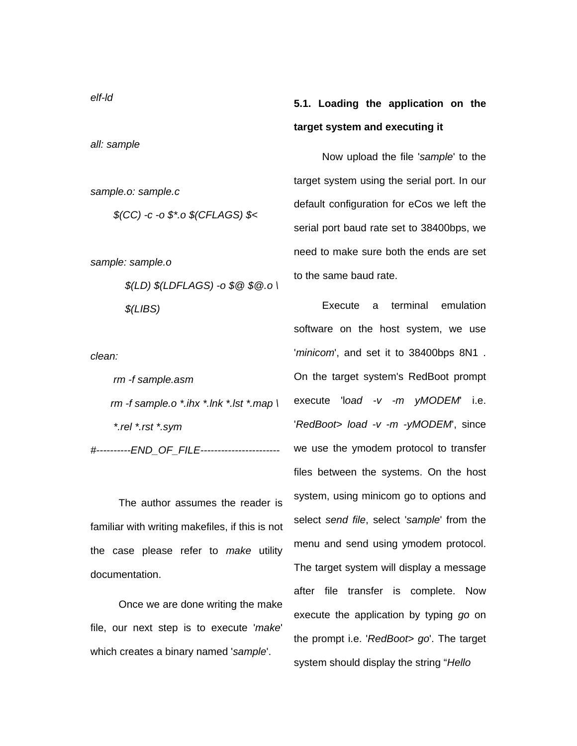# **5.1. Loading the application on the target system and executing it**

 Now upload the file '*sample*' to the target system using the serial port. In our default configuration for eCos we left the serial port baud rate set to 38400bps, we need to make sure both the ends are set to the same baud rate.

 Execute a terminal emulation software on the host system, we use '*minicom*', and set it to 38400bps 8N1 . On the target system's RedBoot prompt execute 'l*oad -v -m yMODEM*' i.e. '*RedBoot> load -v -m -yMODEM*', since we use the ymodem protocol to transfer files between the systems. On the host system, using minicom go to options and select *send file*, select '*sample*' from the menu and send using ymodem protocol. The target system will display a message after file transfer is complete. Now execute the application by typing *go* on the prompt i.e. '*RedBoot> go*'. The target system should display the string "*Hello* 

*all: sample* 

*sample.o: sample.c* 

 *\$(CC) -c -o \$\*.o \$(CFLAGS) \$<* 

*sample: sample.o* 

 *\$(LD) \$(LDFLAGS) -o \$@ \$@.o \ \$(LIBS)* 

*clean:* 

 *rm -f sample.asm rm -f sample.o \*.ihx \*.lnk \*.lst \*.map \ \*.rel \*.rst \*.sym #----------END\_OF\_FILE-----------------------* 

The author assumes the reader is familiar with writing makefiles, if this is not the case please refer to *make* utility documentation.

 Once we are done writing the make file, our next step is to execute '*make*' which creates a binary named '*sample*'.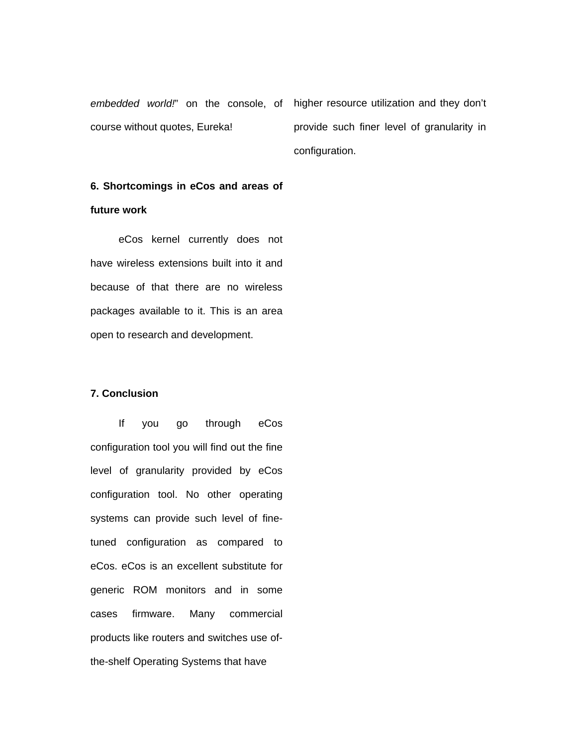*embedded world!*" on the console, of higher resource utilization and they don't course without quotes, Eureka!

provide such finer level of granularity in configuration.

# **6. Shortcomings in eCos and areas of future work**

 eCos kernel currently does not have wireless extensions built into it and because of that there are no wireless packages available to it. This is an area open to research and development.

### **7. Conclusion**

 If you go through eCos configuration tool you will find out the fine level of granularity provided by eCos configuration tool. No other operating systems can provide such level of finetuned configuration as compared to eCos. eCos is an excellent substitute for generic ROM monitors and in some cases firmware. Many commercial products like routers and switches use ofthe-shelf Operating Systems that have